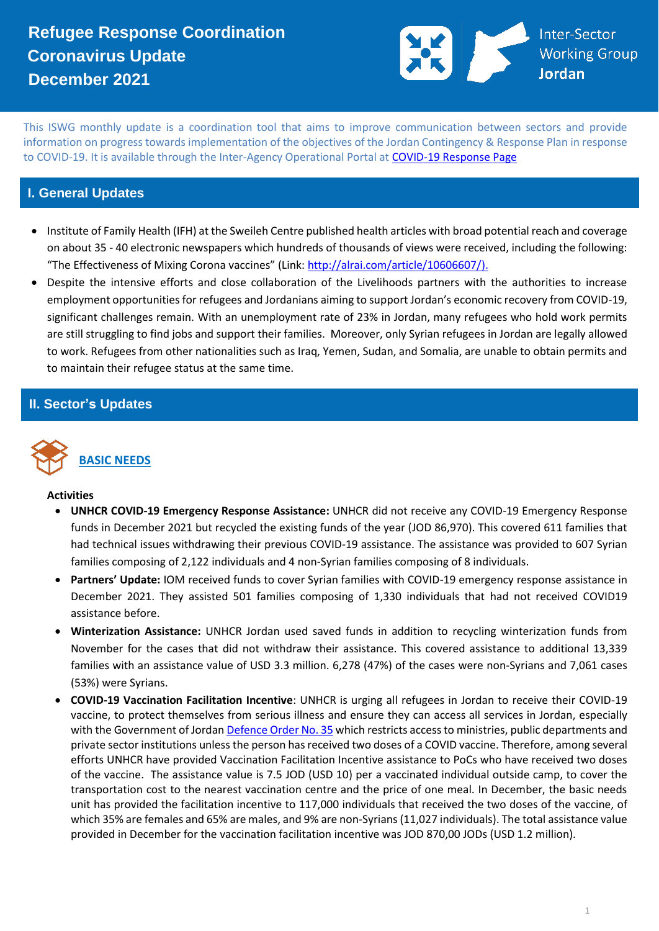### **Refugee Response Coordination Coronavirus Update December 2021**



This ISWG monthly update is a coordination tool that aims to improve communication between sectors and provide information on progress towards implementation of the objectives of the Jordan Contingency & Response Plan in response to COVID-19. It is available through the Inter-Agency Operational Portal at [COVID-19 Response Page](https://eur02.safelinks.protection.outlook.com/?url=https%3A%2F%2Fdata2.unhcr.org%2Fen%2Fworking-group%2F251%3Fsv%3D4%26geo%3D36&data=02%7C01%7Cbyunc%40unhcr.org%7C0621d0ad56f141cfe71708d7d3d2dc45%7Ce5c37981666441348a0c6543d2af80be%7C0%7C0%7C637210774895002030&sdata=aPEtg5vDIBj3A4AWkO5sOLo7pACA7Q8cjR8bwQyAa8c%3D&reserved=0)

#### **I. General Updates**

- Institute of Family Health (IFH) at the Sweileh Centre published health articles with broad potential reach and coverage on about 35 - 40 electronic newspapers which hundreds of thousands of views were received, including the following: "The Effectiveness of Mixing Corona vaccines" (Link: [http://alrai.com/article/10606607/\)](http://alrai.com/article/10606607/).
- Despite the intensive efforts and close collaboration of the Livelihoods partners with the authorities to increase employment opportunities for refugees and Jordanians aiming to support Jordan's economic recovery from COVID-19, significant challenges remain. With an unemployment rate of 23% in Jordan, many refugees who hold work permits are still struggling to find jobs and support their families. Moreover, only Syrian refugees in Jordan are legally allowed to work. Refugees from other nationalities such as Iraq, Yemen, Sudan, and Somalia, are unable to obtain permits and to maintain their refugee status at the same time.

#### **II. Sector's Updates**



#### **Activities**

- **UNHCR COVID-19 Emergency Response Assistance:** UNHCR did not receive any COVID-19 Emergency Response funds in December 2021 but recycled the existing funds of the year (JOD 86,970). This covered 611 families that had technical issues withdrawing their previous COVID-19 assistance. The assistance was provided to 607 Syrian families composing of 2,122 individuals and 4 non-Syrian families composing of 8 individuals.
- **Partners' Update:** IOM received funds to cover Syrian families with COVID-19 emergency response assistance in December 2021. They assisted 501 families composing of 1,330 individuals that had not received COVID19 assistance before.
- **Winterization Assistance:** UNHCR Jordan used saved funds in addition to recycling winterization funds from November for the cases that did not withdraw their assistance. This covered assistance to additional 13,339 families with an assistance value of USD 3.3 million. 6,278 (47%) of the cases were non-Syrians and 7,061 cases (53%) were Syrians.
- **COVID-19 Vaccination Facilitation Incentive**: UNHCR is urging all refugees in Jordan to receive their COVID-19 vaccine, to protect themselves from serious illness and ensure they can access all services in Jordan, especially with the Government of Jordan [Defence Order No. 35](https://www.jordantimes.com/news/local/pm-issues-defence-order-no-35-regulating-entry-public-private-institutions) which restricts access to ministries, public departments and private sector institutions unless the person has received two doses of a COVID vaccine. Therefore, among several efforts UNHCR have provided Vaccination Facilitation Incentive assistance to PoCs who have received two doses of the vaccine. The assistance value is 7.5 JOD (USD 10) per a vaccinated individual outside camp, to cover the transportation cost to the nearest vaccination centre and the price of one meal. In December, the basic needs unit has provided the facilitation incentive to 117,000 individuals that received the two doses of the vaccine, of which 35% are females and 65% are males, and 9% are non-Syrians (11,027 individuals). The total assistance value provided in December for the vaccination facilitation incentive was JOD 870,00 JODs (USD 1.2 million).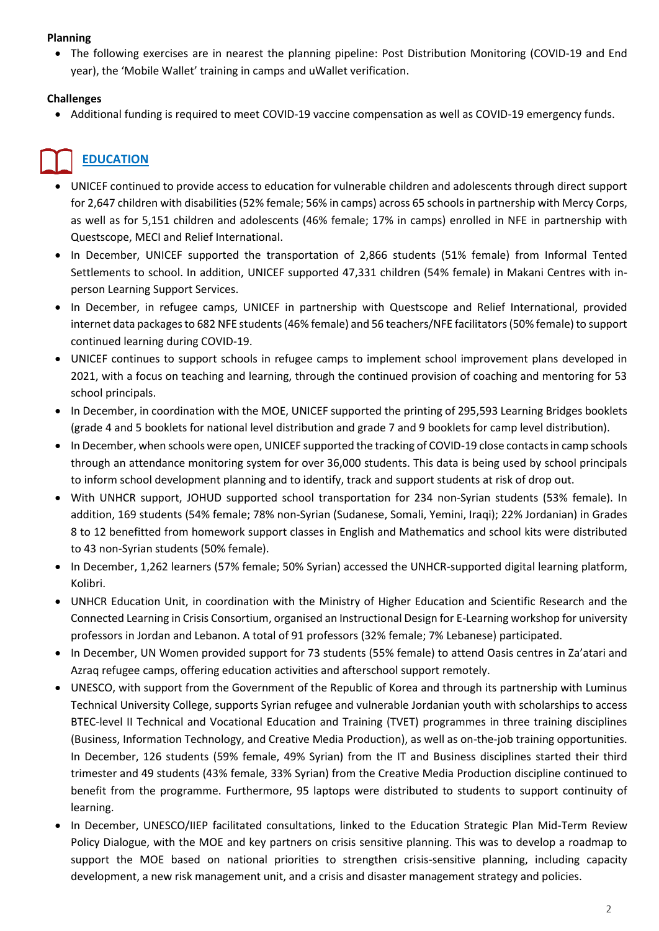#### **Planning**

• The following exercises are in nearest the planning pipeline: Post Distribution Monitoring (COVID-19 and End year), the 'Mobile Wallet' training in camps and uWallet verification.

#### **Challenges**

• Additional funding is required to meet COVID-19 vaccine compensation as well as COVID-19 emergency funds.

## **EDUCATION**

- UNICEF continued to provide access to education for vulnerable children and adolescents through direct support for 2,647 children with disabilities (52% female; 56% in camps) across 65 schools in partnership with Mercy Corps, as well as for 5,151 children and adolescents (46% female; 17% in camps) enrolled in NFE in partnership with Questscope, MECI and Relief International.
- In December, UNICEF supported the transportation of 2,866 students (51% female) from Informal Tented Settlements to school. In addition, UNICEF supported 47,331 children (54% female) in Makani Centres with inperson Learning Support Services.
- In December, in refugee camps, UNICEF in partnership with Questscope and Relief International, provided internet data packages to 682 NFE students (46% female) and 56 teachers/NFE facilitators (50% female) to support continued learning during COVID-19.
- UNICEF continues to support schools in refugee camps to implement school improvement plans developed in 2021, with a focus on teaching and learning, through the continued provision of coaching and mentoring for 53 school principals.
- In December, in coordination with the MOE, UNICEF supported the printing of 295,593 Learning Bridges booklets (grade 4 and 5 booklets for national level distribution and grade 7 and 9 booklets for camp level distribution).
- In December, when schools were open, UNICEF supported the tracking of COVID-19 close contacts in camp schools through an attendance monitoring system for over 36,000 students. This data is being used by school principals to inform school development planning and to identify, track and support students at risk of drop out.
- With UNHCR support, JOHUD supported school transportation for 234 non-Syrian students (53% female). In addition, 169 students (54% female; 78% non-Syrian (Sudanese, Somali, Yemini, Iraqi); 22% Jordanian) in Grades 8 to 12 benefitted from homework support classes in English and Mathematics and school kits were distributed to 43 non-Syrian students (50% female).
- In December, 1,262 learners (57% female; 50% Syrian) accessed the UNHCR-supported digital learning platform, Kolibri.
- UNHCR Education Unit, in coordination with the Ministry of Higher Education and Scientific Research and the Connected Learning in Crisis Consortium, organised an Instructional Design for E-Learning workshop for university professors in Jordan and Lebanon. A total of 91 professors (32% female; 7% Lebanese) participated.
- In December, UN Women provided support for 73 students (55% female) to attend Oasis centres in Za'atari and Azraq refugee camps, offering education activities and afterschool support remotely.
- UNESCO, with support from the Government of the Republic of Korea and through its partnership with Luminus Technical University College, supports Syrian refugee and vulnerable Jordanian youth with scholarships to access BTEC-level II Technical and Vocational Education and Training (TVET) programmes in three training disciplines (Business, Information Technology, and Creative Media Production), as well as on-the-job training opportunities. In December, 126 students (59% female, 49% Syrian) from the IT and Business disciplines started their third trimester and 49 students (43% female, 33% Syrian) from the Creative Media Production discipline continued to benefit from the programme. Furthermore, 95 laptops were distributed to students to support continuity of learning.
- In December, UNESCO/IIEP facilitated consultations, linked to the Education Strategic Plan Mid-Term Review Policy Dialogue, with the MOE and key partners on crisis sensitive planning. This was to develop a roadmap to support the MOE based on national priorities to strengthen crisis-sensitive planning, including capacity development, a new risk management unit, and a crisis and disaster management strategy and policies.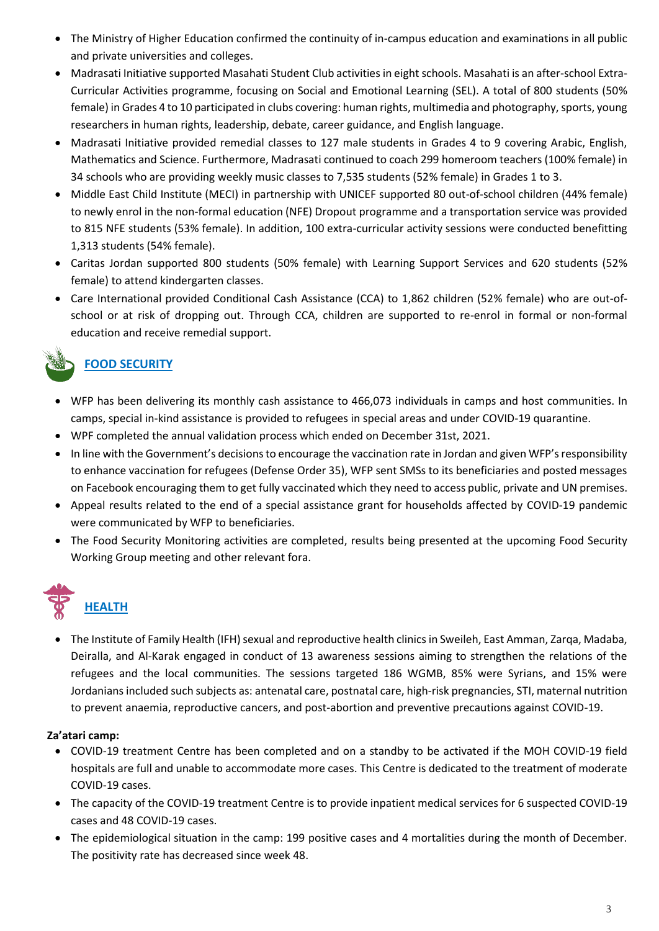- The Ministry of Higher Education confirmed the continuity of in-campus education and examinations in all public and private universities and colleges.
- Madrasati Initiative supported Masahati Student Club activities in eight schools. Masahati is an after-school Extra-Curricular Activities programme, focusing on Social and Emotional Learning (SEL). A total of 800 students (50% female) in Grades 4 to 10 participated in clubs covering: human rights, multimedia and photography, sports, young researchers in human rights, leadership, debate, career guidance, and English language.
- Madrasati Initiative provided remedial classes to 127 male students in Grades 4 to 9 covering Arabic, English, Mathematics and Science. Furthermore, Madrasati continued to coach 299 homeroom teachers (100% female) in 34 schools who are providing weekly music classes to 7,535 students (52% female) in Grades 1 to 3.
- Middle East Child Institute (MECI) in partnership with UNICEF supported 80 out-of-school children (44% female) to newly enrol in the non-formal education (NFE) Dropout programme and a transportation service was provided to 815 NFE students (53% female). In addition, 100 extra-curricular activity sessions were conducted benefitting 1,313 students (54% female).
- Caritas Jordan supported 800 students (50% female) with Learning Support Services and 620 students (52% female) to attend kindergarten classes.
- Care International provided Conditional Cash Assistance (CCA) to 1,862 children (52% female) who are out-ofschool or at risk of dropping out. Through CCA, children are supported to re-enrol in formal or non-formal education and receive remedial support.

### **FOOD SECURITY**

- WFP has been delivering its monthly cash assistance to 466,073 individuals in camps and host communities. In camps, special in-kind assistance is provided to refugees in special areas and under COVID-19 quarantine.
- WPF completed the annual validation process which ended on December 31st, 2021.
- In line with the Government's decisions to encourage the vaccination rate in Jordan and given WFP's responsibility to enhance vaccination for refugees (Defense Order 35), WFP sent SMSs to its beneficiaries and posted messages on Facebook encouraging them to get fully vaccinated which they need to access public, private and UN premises.
- Appeal results related to the end of a special assistance grant for households affected by COVID-19 pandemic were communicated by WFP to beneficiaries.
- The Food Security Monitoring activities are completed, results being presented at the upcoming Food Security Working Group meeting and other relevant fora.



## **HEALTH**

• The Institute of Family Health (IFH) sexual and reproductive health clinics in Sweileh, East Amman, Zarqa, Madaba, Deiralla, and Al-Karak engaged in conduct of 13 awareness sessions aiming to strengthen the relations of the refugees and the local communities. The sessions targeted 186 WGMB, 85% were Syrians, and 15% were Jordanians included such subjects as: antenatal care, postnatal care, high-risk pregnancies, STI, maternal nutrition to prevent anaemia, reproductive cancers, and post-abortion and preventive precautions against COVID-19.

#### **Za'atari camp:**

- COVID-19 treatment Centre has been completed and on a standby to be activated if the MOH COVID-19 field hospitals are full and unable to accommodate more cases. This Centre is dedicated to the treatment of moderate COVID-19 cases.
- The capacity of the COVID-19 treatment Centre is to provide inpatient medical services for 6 suspected COVID-19 cases and 48 COVID-19 cases.
- The epidemiological situation in the camp: 199 positive cases and 4 mortalities during the month of December. The positivity rate has decreased since week 48.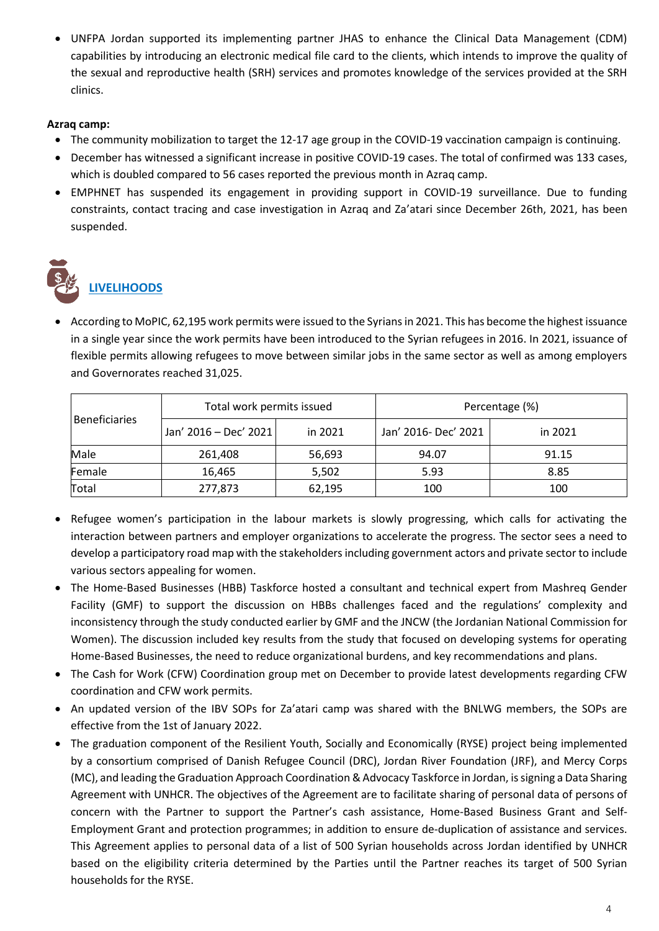• UNFPA Jordan supported its implementing partner JHAS to enhance the Clinical Data Management (CDM) capabilities by introducing an electronic medical file card to the clients, which intends to improve the quality of the sexual and reproductive health (SRH) services and promotes knowledge of the services provided at the SRH clinics.

#### **Azraq camp:**

- The community mobilization to target the 12-17 age group in the COVID-19 vaccination campaign is continuing.
- December has witnessed a significant increase in positive COVID-19 cases. The total of confirmed was 133 cases, which is doubled compared to 56 cases reported the previous month in Azraq camp.
- EMPHNET has suspended its engagement in providing support in COVID-19 surveillance. Due to funding constraints, contact tracing and case investigation in Azraq and Za'atari since December 26th, 2021, has been suspended.

# **LIVELIHOODS**

• According to MoPIC, 62,195 work permits were issued to the Syrians in 2021. This has become the highest issuance in a single year since the work permits have been introduced to the Syrian refugees in 2016. In 2021, issuance of flexible permits allowing refugees to move between similar jobs in the same sector as well as among employers and Governorates reached 31,025.

| <b>Beneficiaries</b> | Total work permits issued |         | Percentage (%)       |         |
|----------------------|---------------------------|---------|----------------------|---------|
|                      | Jan' 2016 - Dec' 2021     | in 2021 | Jan' 2016- Dec' 2021 | in 2021 |
| Male                 | 261,408                   | 56,693  | 94.07                | 91.15   |
| Female               | 16,465                    | 5,502   | 5.93                 | 8.85    |
| Total                | 277,873                   | 62,195  | 100                  | 100     |

- Refugee women's participation in the labour markets is slowly progressing, which calls for activating the interaction between partners and employer organizations to accelerate the progress. The sector sees a need to develop a participatory road map with the stakeholders including government actors and private sector to include various sectors appealing for women.
- The Home-Based Businesses (HBB) Taskforce hosted a consultant and technical expert from Mashreq Gender Facility (GMF) to support the discussion on HBBs challenges faced and the regulations' complexity and inconsistency through the study conducted earlier by GMF and the JNCW (the Jordanian National Commission for Women). The discussion included key results from the study that focused on developing systems for operating Home-Based Businesses, the need to reduce organizational burdens, and key recommendations and plans.
- The Cash for Work (CFW) Coordination group met on December to provide latest developments regarding CFW coordination and CFW work permits.
- An updated version of the IBV SOPs for Za'atari camp was shared with the BNLWG members, the SOPs are effective from the 1st of January 2022.
- The graduation component of the Resilient Youth, Socially and Economically (RYSE) project being implemented by a consortium comprised of Danish Refugee Council (DRC), Jordan River Foundation (JRF), and Mercy Corps (MC), and leading the Graduation Approach Coordination & Advocacy Taskforce in Jordan, is signing a Data Sharing Agreement with UNHCR. The objectives of the Agreement are to facilitate sharing of personal data of persons of concern with the Partner to support the Partner's cash assistance, Home-Based Business Grant and Self-Employment Grant and protection programmes; in addition to ensure de-duplication of assistance and services. This Agreement applies to personal data of a list of 500 Syrian households across Jordan identified by UNHCR based on the eligibility criteria determined by the Parties until the Partner reaches its target of 500 Syrian households for the RYSE.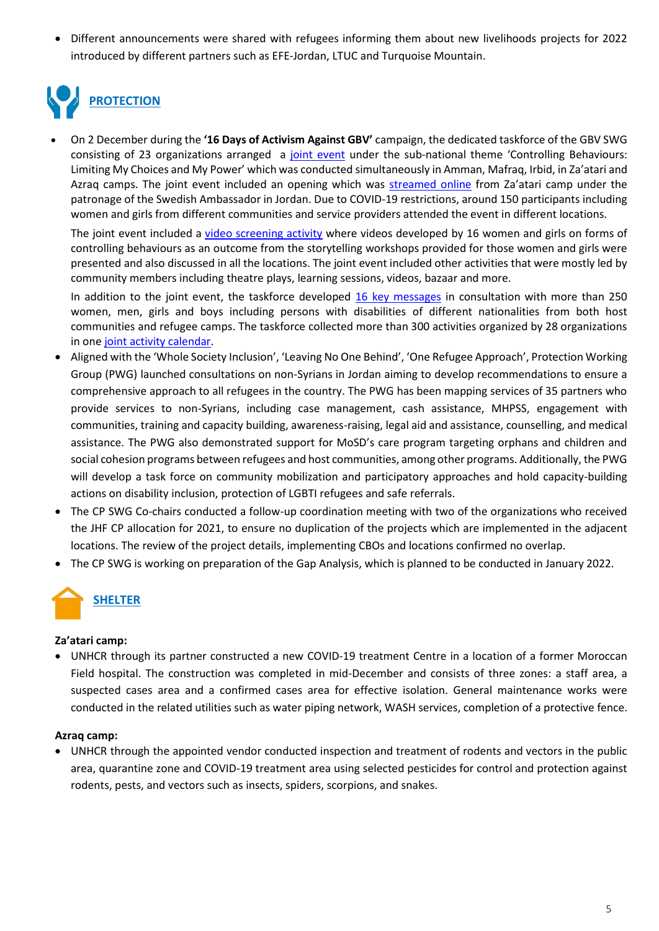• Different announcements were shared with refugees informing them about new livelihoods projects for 2022 introduced by different partners such as EFE-Jordan, LTUC and Turquoise Mountain.

# **PROTECTION**

• On 2 December during the **'16 Days of Activism Against GBV'** campaign, the dedicated taskforce of the GBV SWG consisting of 23 organizations arranged a [joint event](https://eur02.safelinks.protection.outlook.com/?url=https%3A%2F%2Fjordan.unfpa.org%2Fen%2Fnode%2F65196%3Ffbclid%3DIwAR0NWnn5ZrKEzwEoApTwb89ppVSTMEB98rTgtKjTea-iR_FNPhvIphJ_a0s&data=04%7C01%7CMAHAFZA%40unhcr.org%7Cd9285182c55740072c2108d9db4a2bbc%7Ce5c37981666441348a0c6543d2af80be%7C0%7C0%7C637781933864417532%7CUnknown%7CTWFpbGZsb3d8eyJWIjoiMC4wLjAwMDAiLCJQIjoiV2luMzIiLCJBTiI6Ik1haWwiLCJXVCI6Mn0%3D%7C3000&sdata=x7L8ivV5H4pe9xjYXY73KGl7JqjKA7fQC3aoHn8%2Bxe4%3D&reserved=0) under the sub-national theme 'Controlling Behaviours: Limiting My Choices and My Power' which was conducted simultaneously in Amman, Mafraq, Irbid, in Za'atari and Azraq camps. The joint event included an opening which was [streamed online](https://eur02.safelinks.protection.outlook.com/?url=https%3A%2F%2Fwww.facebook.com%2FUNFPA.Jordan%2Fvideos%2F509882236667768&data=04%7C01%7CMAHAFZA%40unhcr.org%7Cd9285182c55740072c2108d9db4a2bbc%7Ce5c37981666441348a0c6543d2af80be%7C0%7C0%7C637781933864417532%7CUnknown%7CTWFpbGZsb3d8eyJWIjoiMC4wLjAwMDAiLCJQIjoiV2luMzIiLCJBTiI6Ik1haWwiLCJXVCI6Mn0%3D%7C3000&sdata=QcUgBGJe8Gb1Csf2cn3JNBQYqkBJZeMRJEpS6TKLnG0%3D&reserved=0) from Za'atari camp under the patronage of the Swedish Ambassador in Jordan. Due to COVID-19 restrictions, around 150 participants including women and girls from different communities and service providers attended the event in different locations.

The joint event included a [video screening activity](https://eur02.safelinks.protection.outlook.com/?url=https%3A%2F%2Fdrive.google.com%2Ffile%2Fd%2F1wwNmJGgcgDaTbNV2qDIw1EZO1uYIhhrH%2Fview&data=04%7C01%7CMAHAFZA%40unhcr.org%7Cd9285182c55740072c2108d9db4a2bbc%7Ce5c37981666441348a0c6543d2af80be%7C0%7C0%7C637781933864573770%7CUnknown%7CTWFpbGZsb3d8eyJWIjoiMC4wLjAwMDAiLCJQIjoiV2luMzIiLCJBTiI6Ik1haWwiLCJXVCI6Mn0%3D%7C3000&sdata=5tgwBFNef0452KQ%2BA7HI22HdbOOevzhux0hXDOxixaQ%3D&reserved=0) where videos developed by 16 women and girls on forms of controlling behaviours as an outcome from the storytelling workshops provided for those women and girls were presented and also discussed in all the locations. The joint event included other activities that were mostly led by community members including theatre plays, learning sessions, videos, bazaar and more.

In addition to the joint event, the taskforce developed [16 key messages](https://eur02.safelinks.protection.outlook.com/?url=https%3A%2F%2Fdrive.google.com%2Ffile%2Fd%2F1jb0ovTKkZ7USqdnbeeGifV3EyyxCX4BR%2Fview%3Fusp%3Dsharing&data=04%7C01%7CMAHAFZA%40unhcr.org%7Cd9285182c55740072c2108d9db4a2bbc%7Ce5c37981666441348a0c6543d2af80be%7C0%7C0%7C637781933864573770%7CUnknown%7CTWFpbGZsb3d8eyJWIjoiMC4wLjAwMDAiLCJQIjoiV2luMzIiLCJBTiI6Ik1haWwiLCJXVCI6Mn0%3D%7C3000&sdata=YfXagrEMY98NaOptKkZ3rsCj6PeEg7e8Cb8F%2B4fwiq0%3D&reserved=0) in consultation with more than 250 women, men, girls and boys including persons with disabilities of different nationalities from both host communities and refugee camps. The taskforce collected more than 300 activities organized by 28 organizations in one [joint activity calendar.](https://eur02.safelinks.protection.outlook.com/?url=https%3A%2F%2Fdata2.unhcr.org%2Fen%2Fdocuments%2Fdetails%2F89880&data=04%7C01%7CMAHAFZA%40unhcr.org%7Cd9285182c55740072c2108d9db4a2bbc%7Ce5c37981666441348a0c6543d2af80be%7C0%7C0%7C637781933864573770%7CUnknown%7CTWFpbGZsb3d8eyJWIjoiMC4wLjAwMDAiLCJQIjoiV2luMzIiLCJBTiI6Ik1haWwiLCJXVCI6Mn0%3D%7C3000&sdata=NTzYdB2l6vhdyreUGf0vEYFPI5E%2B6hxiXzOLabLagx4%3D&reserved=0)

- Aligned with the 'Whole Society Inclusion', 'Leaving No One Behind', 'One Refugee Approach', Protection Working Group (PWG) launched consultations on non-Syrians in Jordan aiming to develop recommendations to ensure a comprehensive approach to all refugees in the country. The PWG has been mapping services of 35 partners who provide services to non-Syrians, including case management, cash assistance, MHPSS, engagement with communities, training and capacity building, awareness-raising, legal aid and assistance, counselling, and medical assistance. The PWG also demonstrated support for MoSD's care program targeting orphans and children and social cohesion programs between refugees and host communities, among other programs. Additionally, the PWG will develop a task force on community mobilization and participatory approaches and hold capacity-building actions on disability inclusion, protection of LGBTI refugees and safe referrals.
- The CP SWG Co-chairs conducted a follow-up coordination meeting with two of the organizations who received the JHF CP allocation for 2021, to ensure no duplication of the projects which are implemented in the adjacent locations. The review of the project details, implementing CBOs and locations confirmed no overlap.
- The CP SWG is working on preparation of the Gap Analysis, which is planned to be conducted in January 2022.

## **SHELTER**

#### **Za'atari camp:**

• UNHCR through its partner constructed a new COVID-19 treatment Centre in a location of a former Moroccan Field hospital. The construction was completed in mid-December and consists of three zones: a staff area, a suspected cases area and a confirmed cases area for effective isolation. General maintenance works were conducted in the related utilities such as water piping network, WASH services, completion of a protective fence.

#### **Azraq camp:**

• UNHCR through the appointed vendor conducted inspection and treatment of rodents and vectors in the public area, quarantine zone and COVID-19 treatment area using selected pesticides for control and protection against rodents, pests, and vectors such as insects, spiders, scorpions, and snakes.